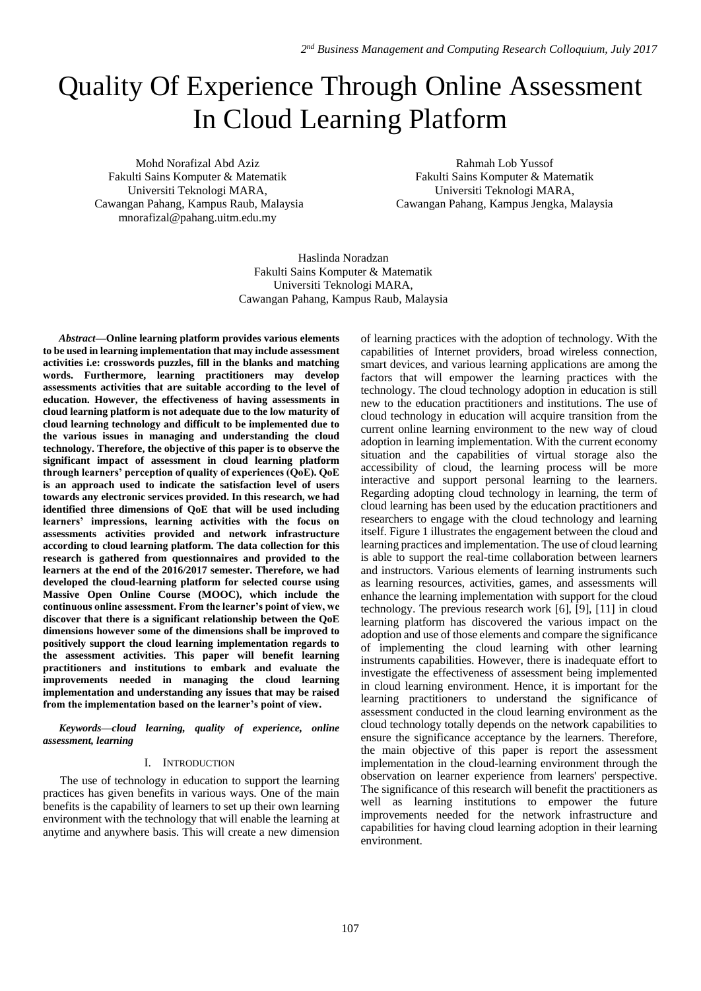# Quality Of Experience Through Online Assessment In Cloud Learning Platform

Mohd Norafizal Abd Aziz Fakulti Sains Komputer & Matematik Universiti Teknologi MARA, Cawangan Pahang, Kampus Raub, Malaysia mnorafizal@pahang.uitm.edu.my

Rahmah Lob Yussof Fakulti Sains Komputer & Matematik Universiti Teknologi MARA, Cawangan Pahang, Kampus Jengka, Malaysia

Haslinda Noradzan Fakulti Sains Komputer & Matematik Universiti Teknologi MARA, Cawangan Pahang, Kampus Raub, Malaysia

*Abstract***—Online learning platform provides various elements to be used in learning implementation that may include assessment activities i.e: crosswords puzzles, fill in the blanks and matching words. Furthermore, learning practitioners may develop assessments activities that are suitable according to the level of education. However, the effectiveness of having assessments in cloud learning platform is not adequate due to the low maturity of cloud learning technology and difficult to be implemented due to the various issues in managing and understanding the cloud technology. Therefore, the objective of this paper is to observe the significant impact of assessment in cloud learning platform through learners' perception of quality of experiences (QoE). QoE is an approach used to indicate the satisfaction level of users towards any electronic services provided. In this research, we had identified three dimensions of QoE that will be used including learners' impressions, learning activities with the focus on assessments activities provided and network infrastructure according to cloud learning platform. The data collection for this research is gathered from questionnaires and provided to the learners at the end of the 2016/2017 semester. Therefore, we had developed the cloud-learning platform for selected course using Massive Open Online Course (MOOC), which include the continuous online assessment. From the learner's point of view, we discover that there is a significant relationship between the QoE dimensions however some of the dimensions shall be improved to positively support the cloud learning implementation regards to the assessment activities. This paper will benefit learning practitioners and institutions to embark and evaluate the improvements needed in managing the cloud learning implementation and understanding any issues that may be raised from the implementation based on the learner's point of view.**

*Keywords—cloud learning, quality of experience, online assessment, learning*

# I. INTRODUCTION

The use of technology in education to support the learning practices has given benefits in various ways. One of the main benefits is the capability of learners to set up their own learning environment with the technology that will enable the learning at anytime and anywhere basis. This will create a new dimension of learning practices with the adoption of technology. With the capabilities of Internet providers, broad wireless connection, smart devices, and various learning applications are among the factors that will empower the learning practices with the technology. The cloud technology adoption in education is still new to the education practitioners and institutions. The use of cloud technology in education will acquire transition from the current online learning environment to the new way of cloud adoption in learning implementation. With the current economy situation and the capabilities of virtual storage also the accessibility of cloud, the learning process will be more interactive and support personal learning to the learners. Regarding adopting cloud technology in learning, the term of cloud learning has been used by the education practitioners and researchers to engage with the cloud technology and learning itself. Figure 1 illustrates the engagement between the cloud and learning practices and implementation. The use of cloud learning is able to support the real-time collaboration between learners and instructors. Various elements of learning instruments such as learning resources, activities, games, and assessments will enhance the learning implementation with support for the cloud technology. The previous research work [6], [9], [11] in cloud learning platform has discovered the various impact on the adoption and use of those elements and compare the significance of implementing the cloud learning with other learning instruments capabilities. However, there is inadequate effort to investigate the effectiveness of assessment being implemented in cloud learning environment. Hence, it is important for the learning practitioners to understand the significance of assessment conducted in the cloud learning environment as the cloud technology totally depends on the network capabilities to ensure the significance acceptance by the learners. Therefore, the main objective of this paper is report the assessment implementation in the cloud-learning environment through the observation on learner experience from learners' perspective. The significance of this research will benefit the practitioners as well as learning institutions to empower the future improvements needed for the network infrastructure and capabilities for having cloud learning adoption in their learning environment.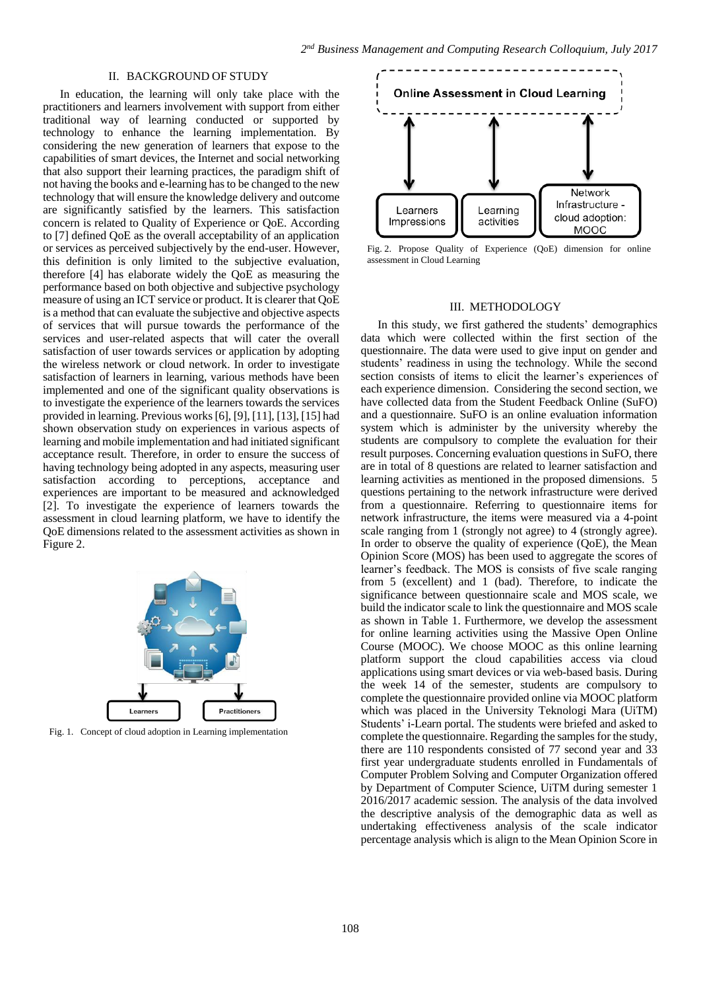## II. BACKGROUND OF STUDY

In education, the learning will only take place with the practitioners and learners involvement with support from either traditional way of learning conducted or supported by technology to enhance the learning implementation. By considering the new generation of learners that expose to the capabilities of smart devices, the Internet and social networking that also support their learning practices, the paradigm shift of not having the books and e-learning has to be changed to the new technology that will ensure the knowledge delivery and outcome are significantly satisfied by the learners. This satisfaction concern is related to Quality of Experience or QoE. According to [7] defined QoE as the overall acceptability of an application or services as perceived subjectively by the end-user. However, this definition is only limited to the subjective evaluation, therefore [4] has elaborate widely the QoE as measuring the performance based on both objective and subjective psychology measure of using an ICT service or product. It is clearer that QoE is a method that can evaluate the subjective and objective aspects of services that will pursue towards the performance of the services and user-related aspects that will cater the overall satisfaction of user towards services or application by adopting the wireless network or cloud network. In order to investigate satisfaction of learners in learning, various methods have been implemented and one of the significant quality observations is to investigate the experience of the learners towards the services provided in learning. Previous works [6], [9], [11], [13], [15] had shown observation study on experiences in various aspects of learning and mobile implementation and had initiated significant acceptance result. Therefore, in order to ensure the success of having technology being adopted in any aspects, measuring user satisfaction according to perceptions, acceptance and experiences are important to be measured and acknowledged [2]. To investigate the experience of learners towards the assessment in cloud learning platform, we have to identify the QoE dimensions related to the assessment activities as shown in Figure 2.



Fig. 1. Concept of cloud adoption in Learning implementation



Fig. 2. Propose Quality of Experience (QoE) dimension for online assessment in Cloud Learning

#### III. METHODOLOGY

In this study, we first gathered the students' demographics data which were collected within the first section of the questionnaire. The data were used to give input on gender and students' readiness in using the technology. While the second section consists of items to elicit the learner's experiences of each experience dimension. Considering the second section, we have collected data from the Student Feedback Online (SuFO) and a questionnaire. SuFO is an online evaluation information system which is administer by the university whereby the students are compulsory to complete the evaluation for their result purposes. Concerning evaluation questions in SuFO, there are in total of 8 questions are related to learner satisfaction and learning activities as mentioned in the proposed dimensions. 5 questions pertaining to the network infrastructure were derived from a questionnaire. Referring to questionnaire items for network infrastructure, the items were measured via a 4-point scale ranging from 1 (strongly not agree) to 4 (strongly agree). In order to observe the quality of experience (QoE), the Mean Opinion Score (MOS) has been used to aggregate the scores of learner's feedback. The MOS is consists of five scale ranging from 5 (excellent) and 1 (bad). Therefore, to indicate the significance between questionnaire scale and MOS scale, we build the indicator scale to link the questionnaire and MOS scale as shown in Table 1. Furthermore, we develop the assessment for online learning activities using the Massive Open Online Course (MOOC). We choose MOOC as this online learning platform support the cloud capabilities access via cloud applications using smart devices or via web-based basis. During the week 14 of the semester, students are compulsory to complete the questionnaire provided online via MOOC platform which was placed in the University Teknologi Mara (UiTM) Students' i-Learn portal. The students were briefed and asked to complete the questionnaire. Regarding the samples for the study, there are 110 respondents consisted of 77 second year and 33 first year undergraduate students enrolled in Fundamentals of Computer Problem Solving and Computer Organization offered by Department of Computer Science, UiTM during semester 1 2016/2017 academic session. The analysis of the data involved the descriptive analysis of the demographic data as well as undertaking effectiveness analysis of the scale indicator percentage analysis which is align to the Mean Opinion Score in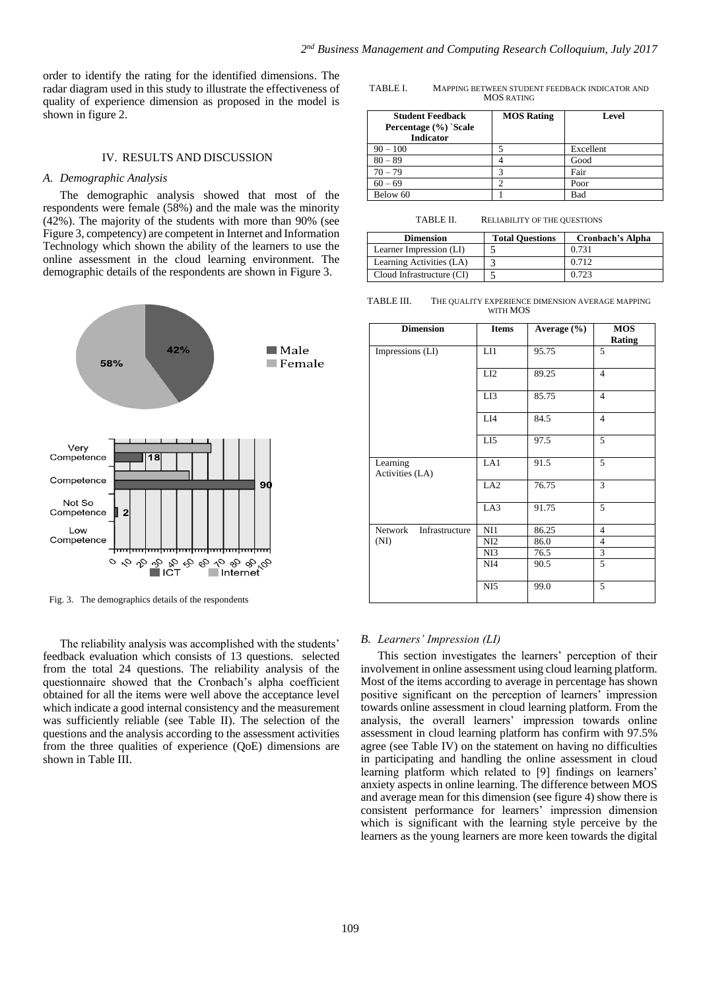order to identify the rating for the identified dimensions. The radar diagram used in this study to illustrate the effectiveness of quality of experience dimension as proposed in the model is shown in figure 2.

#### IV. RESULTS AND DISCUSSION

#### *A. Demographic Analysis*

The demographic analysis showed that most of the respondents were female (58%) and the male was the minority (42%). The majority of the students with more than 90% (see Figure 3, competency) are competent in Internet and Information Technology which shown the ability of the learners to use the online assessment in the cloud learning environment. The demographic details of the respondents are shown in Figure 3.



Fig. 3. The demographics details of the respondents

The reliability analysis was accomplished with the students' feedback evaluation which consists of 13 questions. selected from the total 24 questions. The reliability analysis of the questionnaire showed that the Cronbach's alpha coefficient obtained for all the items were well above the acceptance level which indicate a good internal consistency and the measurement was sufficiently reliable (see Table II). The selection of the questions and the analysis according to the assessment activities from the three qualities of experience (QoE) dimensions are shown in Table III.

TABLE I. MAPPING BETWEEN STUDENT FEEDBACK INDICATOR AND MOS RATING

| <b>Student Feedback</b><br>Percentage (%) `Scale<br><b>Indicator</b> | <b>MOS Rating</b> | Level     |
|----------------------------------------------------------------------|-------------------|-----------|
| $90 - 100$                                                           |                   | Excellent |
| $80 - 89$                                                            |                   | Good      |
| $70 - 79$                                                            |                   | Fair      |
| $60 - 69$                                                            |                   | Poor      |
| Below 60                                                             |                   | Bad       |

TABLE II. RELIABILITY OF THE QUESTIONS

| <b>Dimension</b>          | <b>Total Questions</b> | Cronbach's Alpha |
|---------------------------|------------------------|------------------|
| Learner Impression (LI)   |                        | 0.731            |
| Learning Activities (LA)  |                        | 0.712            |
| Cloud Infrastructure (CI) |                        | 0.723            |

TABLE III. THE QUALITY EXPERIENCE DIMENSION AVERAGE MAPPING WITH MOS

| <b>Dimension</b>            | <b>Items</b>    | Average (%) | <b>MOS</b><br>Rating     |
|-----------------------------|-----------------|-------------|--------------------------|
| Impressions (LI)            | LI1             | 95.75       | 5                        |
|                             | LI2             | 89.25       | $\overline{4}$           |
|                             | LI3             | 85.75       | $\overline{\mathcal{L}}$ |
|                             | LI4             | 84.5        | $\overline{4}$           |
|                             | LI <sub>5</sub> | 97.5        | 5                        |
| Learning<br>Activities (LA) | LA1             | 91.5        | 5                        |
|                             | LA <sub>2</sub> | 76.75       | 3                        |
|                             | LA3             | 91.75       | 5                        |
| Network Infrastructure      | NI1             | 86.25       | 4                        |
| (NI)                        | NI <sub>2</sub> | 86.0        | 4                        |
|                             | NI3             | 76.5        | 3                        |
|                             | NI <sub>4</sub> | 90.5        | 5                        |
|                             | NI <sub>5</sub> | 99.0        | 5                        |

#### *B. Learners' Impression (LI)*

This section investigates the learners' perception of their involvement in online assessment using cloud learning platform. Most of the items according to average in percentage has shown positive significant on the perception of learners' impression towards online assessment in cloud learning platform. From the analysis, the overall learners' impression towards online assessment in cloud learning platform has confirm with 97.5% agree (see Table IV) on the statement on having no difficulties in participating and handling the online assessment in cloud learning platform which related to [9] findings on learners' anxiety aspects in online learning. The difference between MOS and average mean for this dimension (see figure 4) show there is consistent performance for learners' impression dimension which is significant with the learning style perceive by the learners as the young learners are more keen towards the digital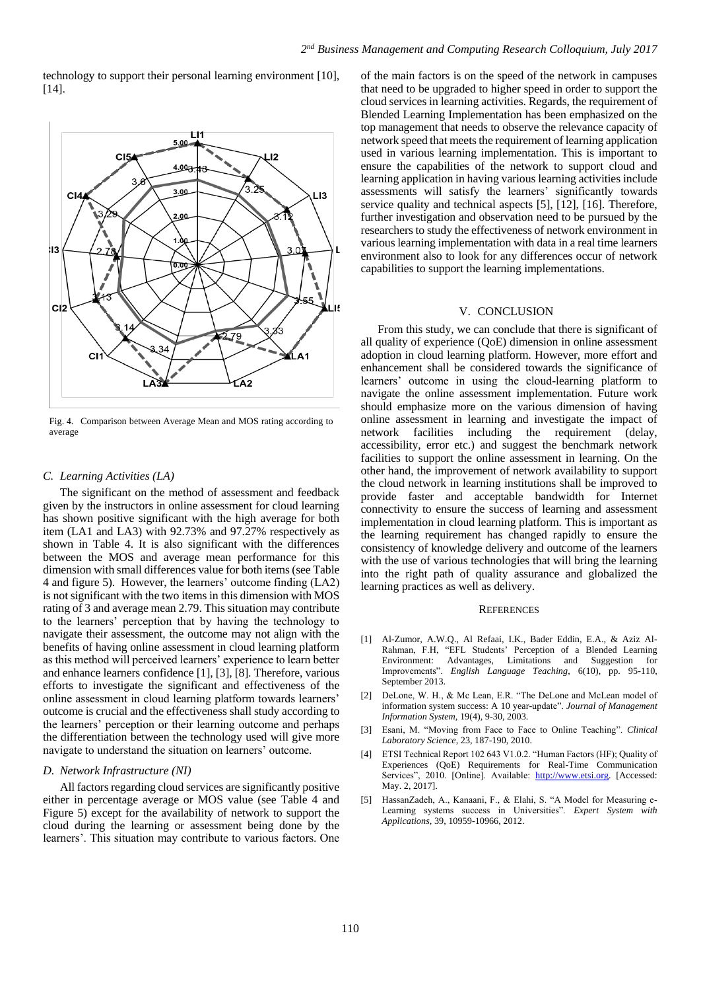technology to support their personal learning environment [10], [14].



Fig. 4. Comparison between Average Mean and MOS rating according to average

## *C. Learning Activities (LA)*

The significant on the method of assessment and feedback given by the instructors in online assessment for cloud learning has shown positive significant with the high average for both item (LA1 and LA3) with 92.73% and 97.27% respectively as shown in Table 4. It is also significant with the differences between the MOS and average mean performance for this dimension with small differences value for both items (see Table 4 and figure 5). However, the learners' outcome finding (LA2) is not significant with the two items in this dimension with MOS rating of 3 and average mean 2.79. This situation may contribute to the learners' perception that by having the technology to navigate their assessment, the outcome may not align with the benefits of having online assessment in cloud learning platform as this method will perceived learners' experience to learn better and enhance learners confidence [1], [3], [8]. Therefore, various efforts to investigate the significant and effectiveness of the online assessment in cloud learning platform towards learners' outcome is crucial and the effectiveness shall study according to the learners' perception or their learning outcome and perhaps the differentiation between the technology used will give more navigate to understand the situation on learners' outcome.

#### *D. Network Infrastructure (NI)*

All factors regarding cloud services are significantly positive either in percentage average or MOS value (see Table 4 and Figure 5) except for the availability of network to support the cloud during the learning or assessment being done by the learners'. This situation may contribute to various factors. One

of the main factors is on the speed of the network in campuses that need to be upgraded to higher speed in order to support the cloud services in learning activities. Regards, the requirement of Blended Learning Implementation has been emphasized on the top management that needs to observe the relevance capacity of network speed that meets the requirement of learning application used in various learning implementation. This is important to ensure the capabilities of the network to support cloud and learning application in having various learning activities include assessments will satisfy the learners' significantly towards service quality and technical aspects [5], [12], [16]. Therefore, further investigation and observation need to be pursued by the researchers to study the effectiveness of network environment in various learning implementation with data in a real time learners environment also to look for any differences occur of network capabilities to support the learning implementations.

#### V. CONCLUSION

From this study, we can conclude that there is significant of all quality of experience (QoE) dimension in online assessment adoption in cloud learning platform. However, more effort and enhancement shall be considered towards the significance of learners' outcome in using the cloud-learning platform to navigate the online assessment implementation. Future work should emphasize more on the various dimension of having online assessment in learning and investigate the impact of network facilities including the requirement (delay, accessibility, error etc.) and suggest the benchmark network facilities to support the online assessment in learning. On the other hand, the improvement of network availability to support the cloud network in learning institutions shall be improved to provide faster and acceptable bandwidth for Internet connectivity to ensure the success of learning and assessment implementation in cloud learning platform. This is important as the learning requirement has changed rapidly to ensure the consistency of knowledge delivery and outcome of the learners with the use of various technologies that will bring the learning into the right path of quality assurance and globalized the learning practices as well as delivery.

#### **REFERENCES**

- [1] Al-Zumor, A.W.Q., Al Refaai, I.K., Bader Eddin, E.A., & Aziz Al-Rahman, F.H, "EFL Students' Perception of a Blended Learning Environment: Advantages, Limitations and Suggestion for Improvements". *English Language Teaching*, 6(10), pp. 95-110, September 2013.
- [2] DeLone, W. H., & Mc Lean, E.R. "The DeLone and McLean model of information system success: A 10 year-update". *Journal of Management Information System*, 19(4), 9-30, 2003.
- [3] Esani, M. "Moving from Face to Face to Online Teaching". *Clinical Laboratory Science*, 23, 187-190, 2010.
- [4] ETSI Technical Report 102 643 V1.0.2. "Human Factors (HF); Quality of Experiences (QoE) Requirements for Real-Time Communication Services", 2010. [Online]. Available: [http://www.etsi.org.](http://www.etsi.org/) [Accessed: May. 2, 2017].
- [5] HassanZadeh, A., Kanaani, F., & Elahi, S. "A Model for Measuring e-Learning systems success in Universities". *Expert System with Applications*, 39, 10959-10966, 2012.